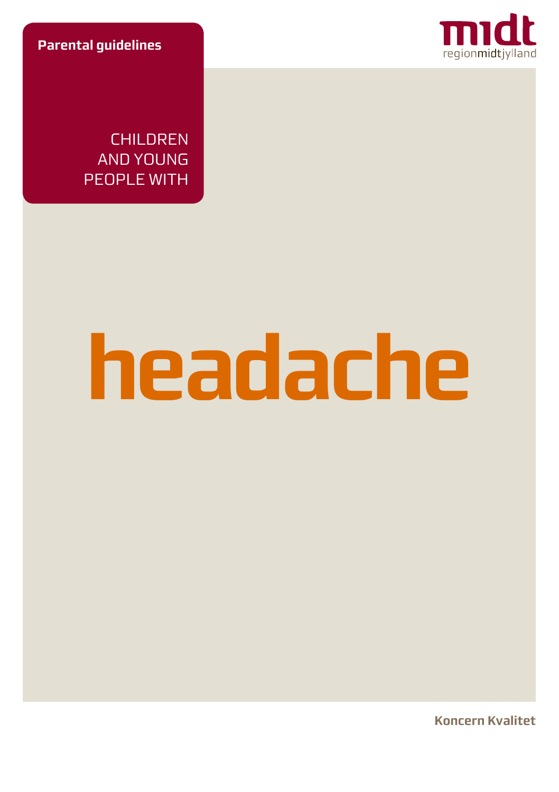**Parental guidelines**



**CHILDREN** AND YOUNG PEOPLE WITH

# **headache**

**Koncern Kvalitet**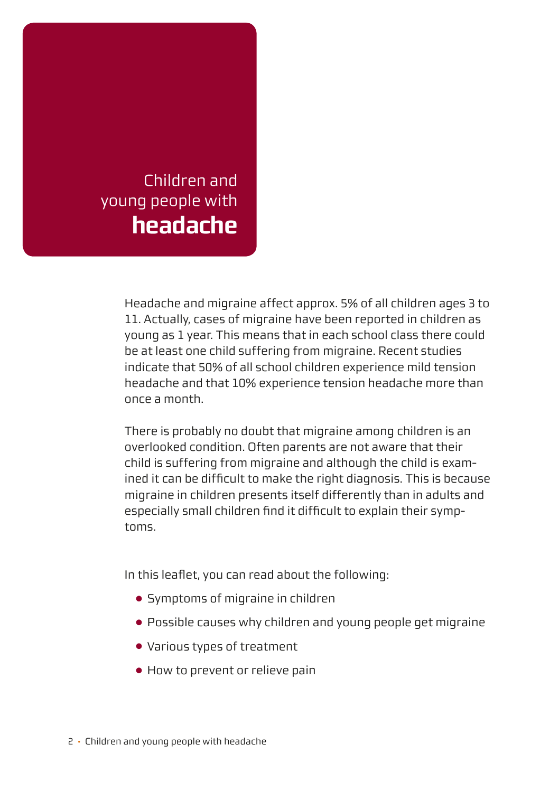

Headache and migraine affect approx. 5% of all children ages 3 to 11. Actually, cases of migraine have been reported in children as young as 1 year. This means that in each school class there could be at least one child suffering from migraine. Recent studies indicate that 50% of all school children experience mild tension headache and that 10% experience tension headache more than once a month.

There is probably no doubt that migraine among children is an overlooked condition. Often parents are not aware that their child is suffering from migraine and although the child is examined it can be difficult to make the right diagnosis. This is because migraine in children presents itself differently than in adults and especially small children find it difficult to explain their symptoms.

In this leaflet, you can read about the following:

- Symptoms of migraine in children
- Possible causes why children and young people get migraine
- Various types of treatment
- How to prevent or relieve pain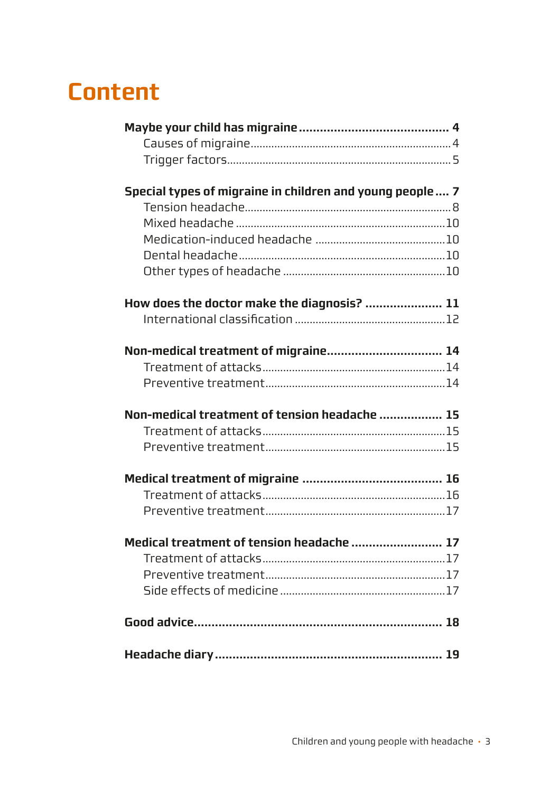# **Content**

| Special types of migraine in children and young people 7 |  |
|----------------------------------------------------------|--|
|                                                          |  |
|                                                          |  |
|                                                          |  |
|                                                          |  |
|                                                          |  |
| How does the doctor make the diagnosis?  11              |  |
|                                                          |  |
|                                                          |  |
| Non-medical treatment of migraine 14                     |  |
|                                                          |  |
|                                                          |  |
| Non-medical treatment of tension headache  15            |  |
|                                                          |  |
|                                                          |  |
|                                                          |  |
|                                                          |  |
|                                                          |  |
| Medical treatment of tension headache  17                |  |
|                                                          |  |
|                                                          |  |
|                                                          |  |
|                                                          |  |
|                                                          |  |
|                                                          |  |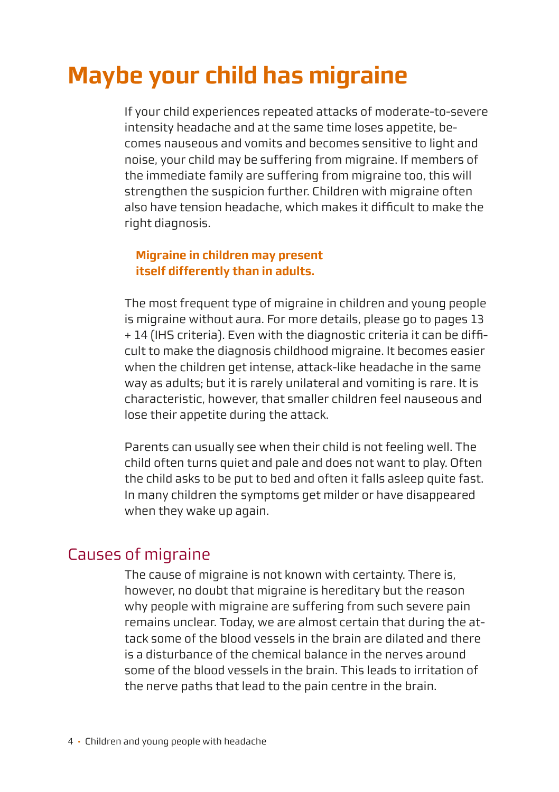# <span id="page-3-0"></span>**Maybe your child has migraine**

If your child experiences repeated attacks of moderate-to-severe intensity headache and at the same time loses appetite, becomes nauseous and vomits and becomes sensitive to light and noise, your child may be suffering from migraine. If members of the immediate family are suffering from migraine too, this will strengthen the suspicion further. Children with migraine often also have tension headache, which makes it difficult to make the right diagnosis.

#### **Migraine in children may present itself differently than in adults.**

The most frequent type of migraine in children and young people is migraine without aura. For more details, please go to pages 13 + 14 (IHS criteria). Even with the diagnostic criteria it can be difficult to make the diagnosis childhood migraine. It becomes easier when the children get intense, attack-like headache in the same way as adults; but it is rarely unilateral and vomiting is rare. It is characteristic, however, that smaller children feel nauseous and lose their appetite during the attack.

Parents can usually see when their child is not feeling well. The child often turns quiet and pale and does not want to play. Often the child asks to be put to bed and often it falls asleep quite fast. In many children the symptoms get milder or have disappeared when they wake up again.

## Causes of migraine

The cause of migraine is not known with certainty. There is, however, no doubt that migraine is hereditary but the reason why people with migraine are suffering from such severe pain remains unclear. Today, we are almost certain that during the attack some of the blood vessels in the brain are dilated and there is a disturbance of the chemical balance in the nerves around some of the blood vessels in the brain. This leads to irritation of the nerve paths that lead to the pain centre in the brain.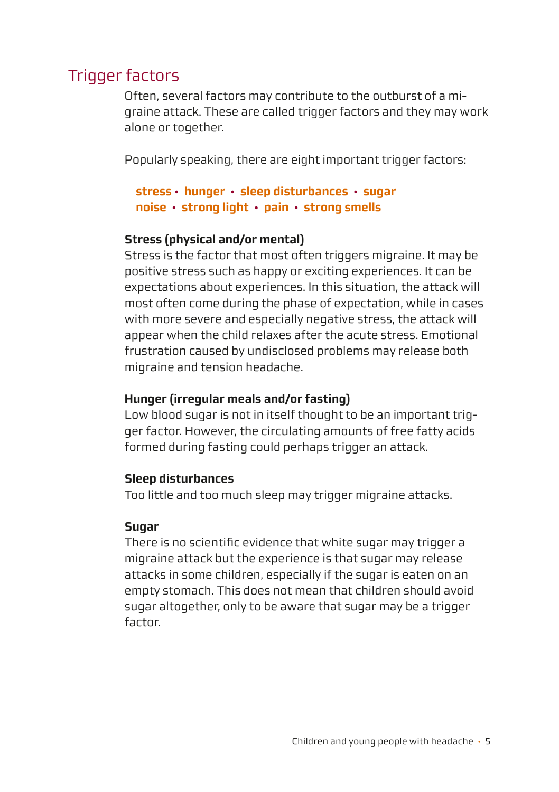# <span id="page-4-0"></span>Trigger factors

Often, several factors may contribute to the outburst of a migraine attack. These are called trigger factors and they may work alone or together.

Popularly speaking, there are eight important trigger factors:

#### **stress · hunger · sleep disturbances · sugar noise · strong light · pain · strong smells**

#### **Stress (physical and/or mental)**

Stress is the factor that most often triggers migraine. It may be positive stress such as happy or exciting experiences. It can be expectations about experiences. In this situation, the attack will most often come during the phase of expectation, while in cases with more severe and especially negative stress, the attack will appear when the child relaxes after the acute stress. Emotional frustration caused by undisclosed problems may release both migraine and tension headache.

#### **Hunger (irregular meals and/or fasting)**

Low blood sugar is not in itself thought to be an important trigger factor. However, the circulating amounts of free fatty acids formed during fasting could perhaps trigger an attack.

#### **Sleep disturbances**

Too little and too much sleep may trigger migraine attacks.

#### **Sugar**

There is no scientific evidence that white sugar may trigger a migraine attack but the experience is that sugar may release attacks in some children, especially if the sugar is eaten on an empty stomach. This does not mean that children should avoid sugar altogether, only to be aware that sugar may be a trigger factor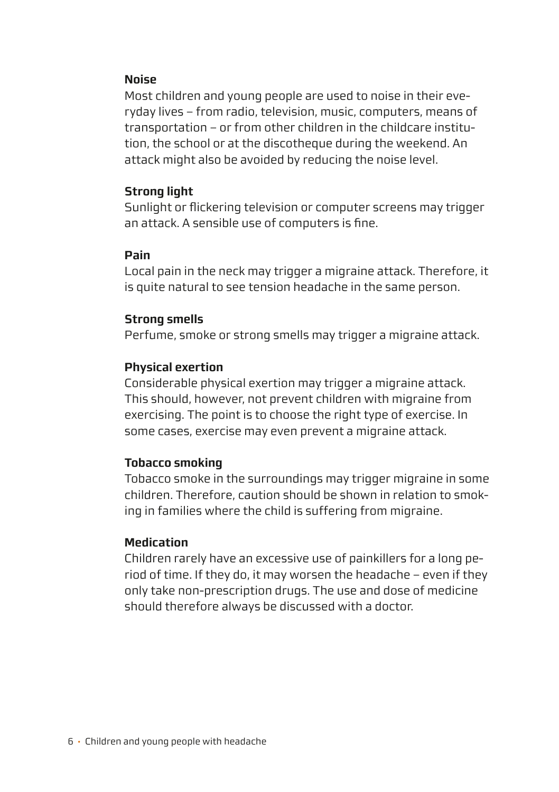#### **Noise**

Most children and young people are used to noise in their everyday lives – from radio, television, music, computers, means of transportation – or from other children in the childcare institution, the school or at the discotheque during the weekend. An attack might also be avoided by reducing the noise level.

#### **Strong light**

Sunlight or flickering television or computer screens may trigger an attack. A sensible use of computers is fine.

#### **Pain**

Local pain in the neck may trigger a migraine attack. Therefore, it is quite natural to see tension headache in the same person.

#### **Strong smells**

Perfume, smoke or strong smells may trigger a migraine attack.

#### **Physical exertion**

Considerable physical exertion may trigger a migraine attack. This should, however, not prevent children with migraine from exercising. The point is to choose the right type of exercise. In some cases, exercise may even prevent a migraine attack.

#### **Tobacco smoking**

Tobacco smoke in the surroundings may trigger migraine in some children. Therefore, caution should be shown in relation to smoking in families where the child is suffering from migraine.

#### **Medication**

Children rarely have an excessive use of painkillers for a long period of time. If they do, it may worsen the headache – even if they only take non-prescription drugs. The use and dose of medicine should therefore always be discussed with a doctor.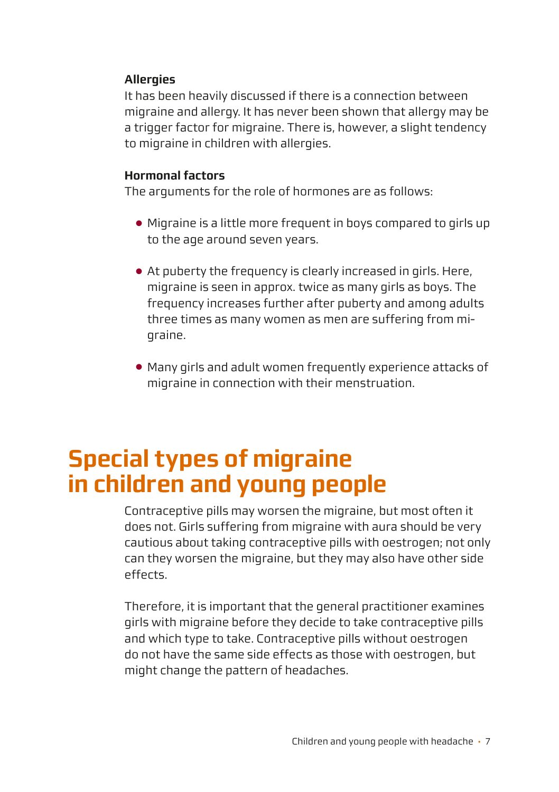#### <span id="page-6-0"></span>**Allergies**

It has been heavily discussed if there is a connection between migraine and allergy. It has never been shown that allergy may be a trigger factor for migraine. There is, however, a slight tendency to migraine in children with allergies.

#### **Hormonal factors**

The arguments for the role of hormones are as follows:

- Migraine is a little more frequent in boys compared to girls up to the age around seven years.
- At puberty the frequency is clearly increased in girls. Here, migraine is seen in approx. twice as many girls as boys. The frequency increases further after puberty and among adults three times as many women as men are suffering from migraine.
- Many girls and adult women frequently experience attacks of migraine in connection with their menstruation.

# **Special types of migraine in children and young people**

Contraceptive pills may worsen the migraine, but most often it does not. Girls suffering from migraine with aura should be very cautious about taking contraceptive pills with oestrogen; not only can they worsen the migraine, but they may also have other side effects.

Therefore, it is important that the general practitioner examines girls with migraine before they decide to take contraceptive pills and which type to take. Contraceptive pills without oestrogen do not have the same side effects as those with oestrogen, but might change the pattern of headaches.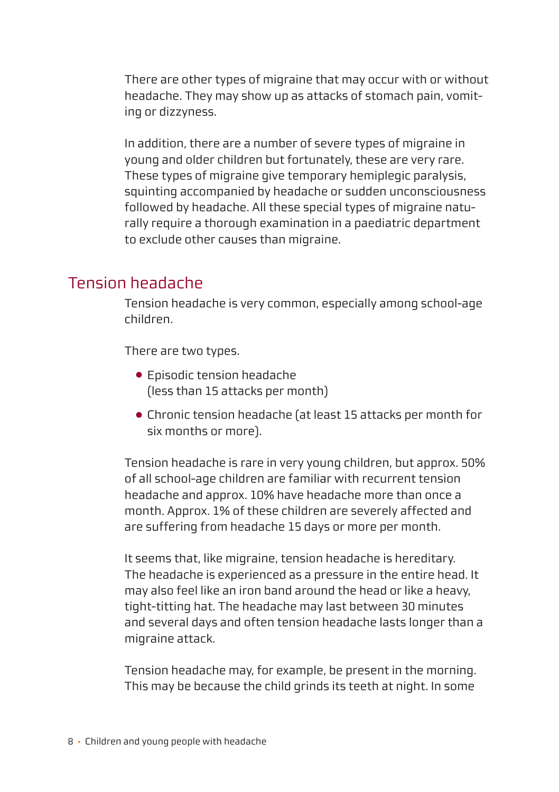<span id="page-7-0"></span>There are other types of migraine that may occur with or without headache. They may show up as attacks of stomach pain, vomiting or dizzyness.

In addition, there are a number of severe types of migraine in young and older children but fortunately, these are very rare. These types of migraine give temporary hemiplegic paralysis, squinting accompanied by headache or sudden unconsciousness followed by headache. All these special types of migraine naturally require a thorough examination in a paediatric department to exclude other causes than migraine.

## Tension headache

Tension headache is very common, especially among school-age children.

There are two types.

- Episodic tension headache (less than 15 attacks per month)
- Chronic tension headache (at least 15 attacks per month for six months or more).

Tension headache is rare in very young children, but approx. 50% of all school-age children are familiar with recurrent tension headache and approx. 10% have headache more than once a month. Approx. 1% of these children are severely affected and are suffering from headache 15 days or more per month.

It seems that, like migraine, tension headache is hereditary. The headache is experienced as a pressure in the entire head. It may also feel like an iron band around the head or like a heavy, tight-titting hat. The headache may last between 30 minutes and several days and often tension headache lasts longer than a migraine attack.

Tension headache may, for example, be present in the morning. This may be because the child grinds its teeth at night. In some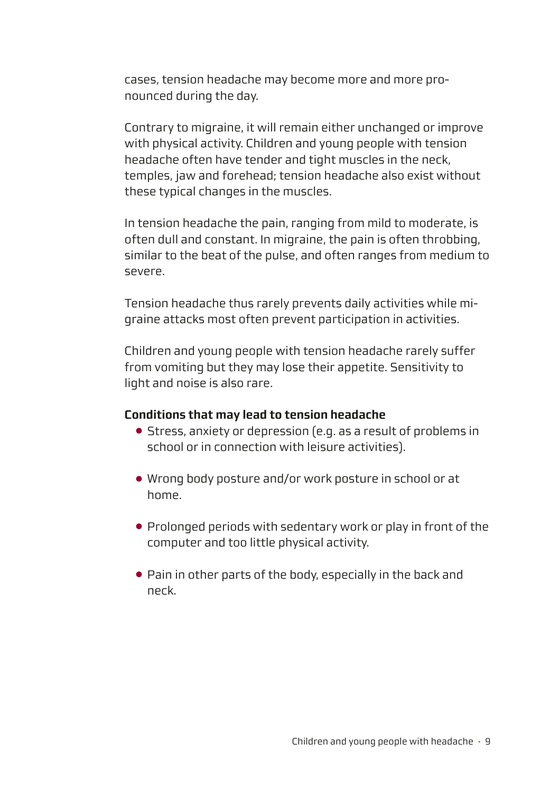cases, tension headache may become more and more pronounced during the day.

Contrary to migraine, it will remain either unchanged or improve with physical activity. Children and young people with tension headache often have tender and tight muscles in the neck, temples, jaw and forehead; tension headache also exist without these typical changes in the muscles.

In tension headache the pain, ranging from mild to moderate, is often dull and constant. In migraine, the pain is often throbbing, similar to the beat of the pulse, and often ranges from medium to severe.

Tension headache thus rarely prevents daily activities while migraine attacks most often prevent participation in activities.

Children and young people with tension headache rarely suffer from vomiting but they may lose their appetite. Sensitivity to light and noise is also rare.

#### **Conditions that may lead to tension headache**

- Stress, anxiety or depression (e.g. as a result of problems in school or in connection with leisure activities).
- Wrong body posture and/or work posture in school or at home.
- Prolonged periods with sedentary work or play in front of the computer and too little physical activity.
- Pain in other parts of the body, especially in the back and neck.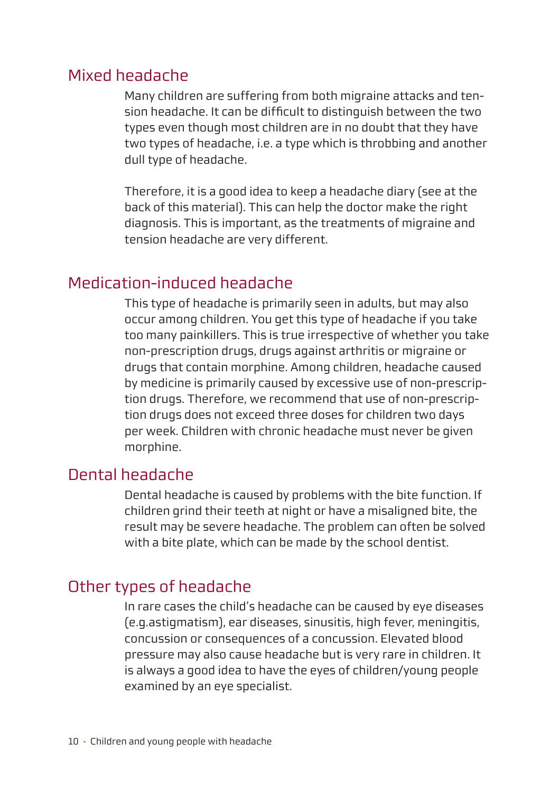## <span id="page-9-0"></span>Mixed headache

Many children are suffering from both migraine attacks and tension headache. It can be difficult to distinguish between the two types even though most children are in no doubt that they have two types of headache, i.e. a type which is throbbing and another dull type of headache.

Therefore, it is a good idea to keep a headache diary (see at the back of this material). This can help the doctor make the right diagnosis. This is important, as the treatments of migraine and tension headache are very different.

## Medication-induced headache

This type of headache is primarily seen in adults, but may also occur among children. You get this type of headache if you take too many painkillers. This is true irrespective of whether you take non-prescription drugs, drugs against arthritis or migraine or drugs that contain morphine. Among children, headache caused by medicine is primarily caused by excessive use of non-prescription drugs. Therefore, we recommend that use of non-prescription drugs does not exceed three doses for children two days per week. Children with chronic headache must never be given morphine.

# Dental headache

Dental headache is caused by problems with the bite function. If children grind their teeth at night or have a misaligned bite, the result may be severe headache. The problem can often be solved with a bite plate, which can be made by the school dentist.

## Other types of headache

In rare cases the child's headache can be caused by eye diseases (e.g.astigmatism), ear diseases, sinusitis, high fever, meningitis, concussion or consequences of a concussion. Elevated blood pressure may also cause headache but is very rare in children. It is always a good idea to have the eyes of children/young people examined by an eye specialist.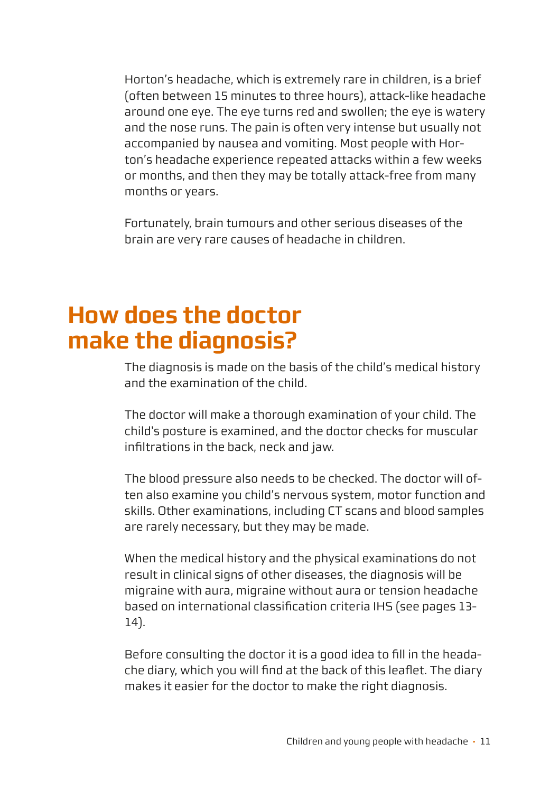<span id="page-10-0"></span>Horton's headache, which is extremely rare in children, is a brief (often between 15 minutes to three hours), attack-like headache around one eye. The eye turns red and swollen; the eye is watery and the nose runs. The pain is often very intense but usually not accompanied by nausea and vomiting. Most people with Horton's headache experience repeated attacks within a few weeks or months, and then they may be totally attack-free from many months or years.

Fortunately, brain tumours and other serious diseases of the brain are very rare causes of headache in children.

# **How does the doctor make the diagnosis?**

The diagnosis is made on the basis of the child's medical history and the examination of the child.

The doctor will make a thorough examination of your child. The child's posture is examined, and the doctor checks for muscular infiltrations in the back, neck and jaw.

The blood pressure also needs to be checked. The doctor will often also examine you child's nervous system, motor function and skills. Other examinations, including CT scans and blood samples are rarely necessary, but they may be made.

When the medical history and the physical examinations do not result in clinical signs of other diseases, the diagnosis will be migraine with aura, migraine without aura or tension headache based on international classification criteria IHS (see pages 13- 14).

Before consulting the doctor it is a good idea to fill in the headache diary, which you will find at the back of this leaflet. The diary makes it easier for the doctor to make the right diagnosis.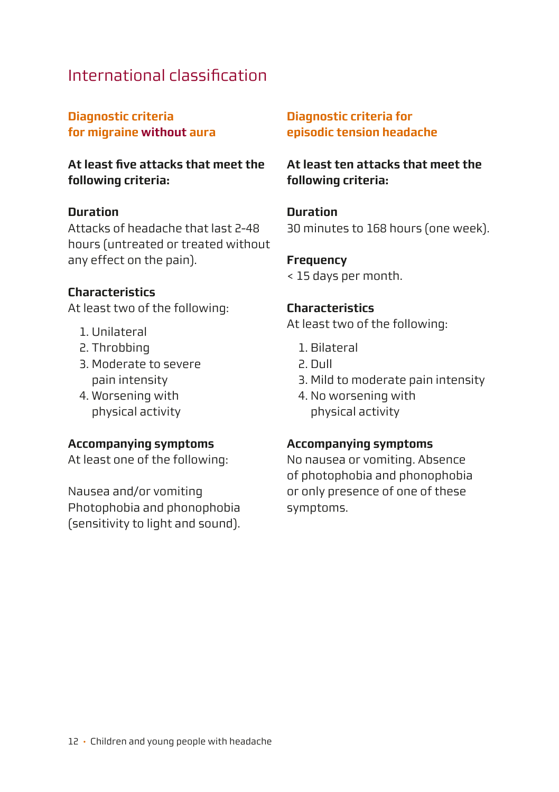# <span id="page-11-0"></span>International classification

#### **Diagnostic criteria for migraine without aura**

**At least five attacks that meet the following criteria:**

#### **Duration**

Attacks of headache that last 2-48 hours (untreated or treated without any effect on the pain).

#### **Characteristics**

At least two of the following:

- 1. Unilateral
- 2. Throbbing
- 3. Moderate to severe pain intensity
- 4. Worsening with physical activity

#### **Accompanying symptoms**

At least one of the following:

Nausea and/or vomiting Photophobia and phonophobia (sensitivity to light and sound).

#### **Diagnostic criteria for episodic tension headache**

**At least ten attacks that meet the following criteria:**

#### **Duration**

30 minutes to 168 hours (one week).

#### **Frequency**

< 15 days per month.

#### **Characteristics**

At least two of the following:

- 1. Bilateral
- 2. Dull
- 3. Mild to moderate pain intensity
- 4. No worsening with physical activity

#### **Accompanying symptoms**

No nausea or vomiting. Absence of photophobia and phonophobia or only presence of one of these symptoms.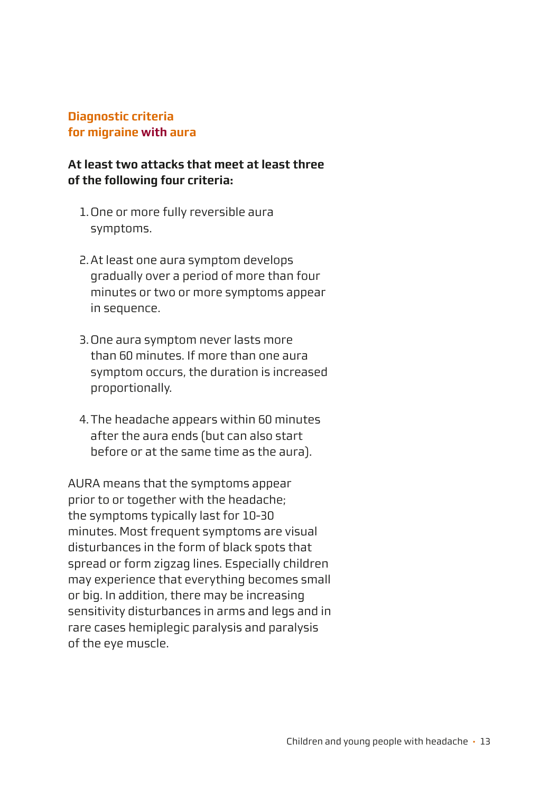#### **Diagnostic criteria for migraine with aura**

#### **At least two attacks that meet at least three of the following four criteria:**

- 1. One or more fully reversible aura symptoms.
- 2. At least one aura symptom develops gradually over a period of more than four minutes or two or more symptoms appear in sequence.
- 3. One aura symptom never lasts more than 60 minutes. If more than one aura symptom occurs, the duration is increased proportionally.
- 4. The headache appears within 60 minutes after the aura ends (but can also start before or at the same time as the aura).

AURA means that the symptoms appear prior to or together with the headache; the symptoms typically last for 10-30 minutes. Most frequent symptoms are visual disturbances in the form of black spots that spread or form zigzag lines. Especially children may experience that everything becomes small or big. In addition, there may be increasing sensitivity disturbances in arms and legs and in rare cases hemiplegic paralysis and paralysis of the eye muscle.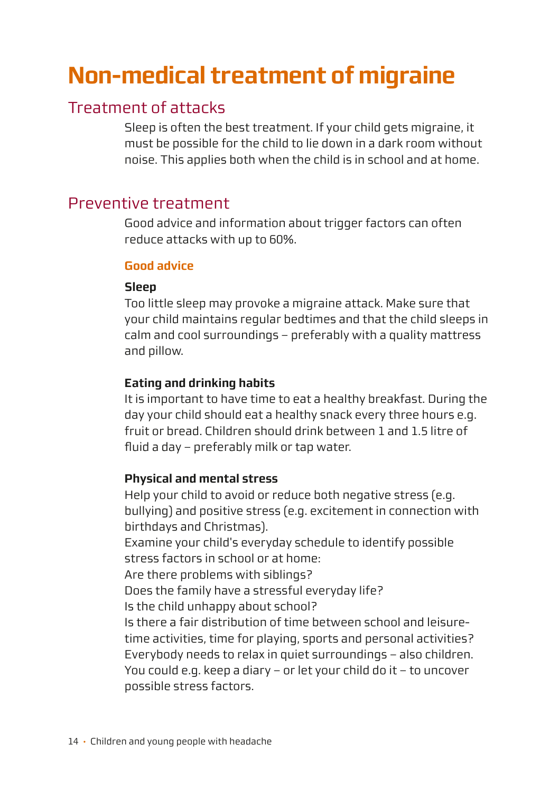# <span id="page-13-0"></span>**Non-medical treatment of migraine**

# Treatment of attacks

Sleep is often the best treatment. If your child gets migraine, it must be possible for the child to lie down in a dark room without noise. This applies both when the child is in school and at home.

# Preventive treatment

Good advice and information about trigger factors can often reduce attacks with up to 60%.

#### **Good advice**

#### **Sleep**

Too little sleep may provoke a migraine attack. Make sure that your child maintains regular bedtimes and that the child sleeps in calm and cool surroundings – preferably with a quality mattress and pillow.

#### **Eating and drinking habits**

It is important to have time to eat a healthy breakfast. During the day your child should eat a healthy snack every three hours e.g. fruit or bread. Children should drink between 1 and 1.5 litre of fluid a day – preferably milk or tap water.

#### **Physical and mental stress**

Help your child to avoid or reduce both negative stress (e.g. bullying) and positive stress (e.g. excitement in connection with birthdays and Christmas).

Examine your child's everyday schedule to identify possible stress factors in school or at home:

Are there problems with siblings?

Does the family have a stressful everyday life?

Is the child unhanny about school?

Is there a fair distribution of time between school and leisuretime activities, time for playing, sports and personal activities? Everybody needs to relax in quiet surroundings – also children. You could e.g. keep a diary – or let your child do it – to uncover possible stress factors.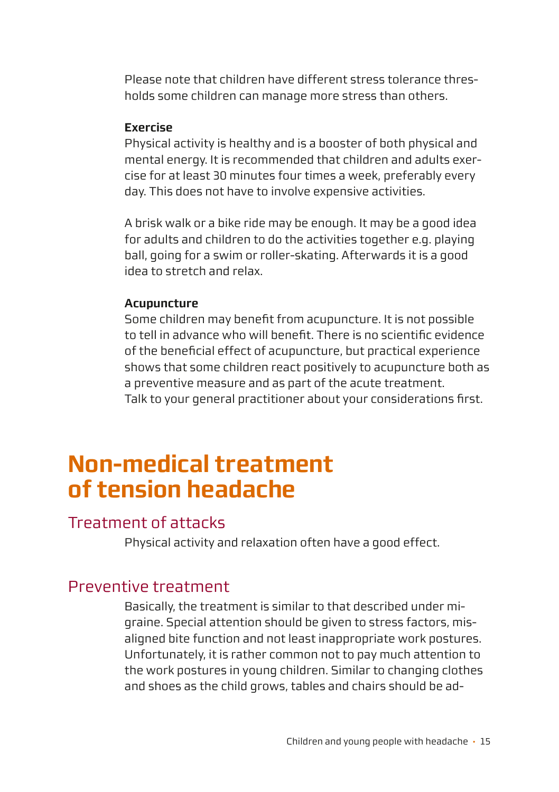<span id="page-14-0"></span>Please note that children have different stress tolerance thresholds some children can manage more stress than others.

#### **Exercise**

Physical activity is healthy and is a booster of both physical and mental energy. It is recommended that children and adults exercise for at least 30 minutes four times a week, preferably every day. This does not have to involve expensive activities.

A brisk walk or a bike ride may be enough. It may be a good idea for adults and children to do the activities together e.g. playing ball, going for a swim or roller-skating. Afterwards it is a good idea to stretch and relax.

#### **Acupuncture**

Some children may benefit from acupuncture. It is not possible to tell in advance who will benefit. There is no scientific evidence of the beneficial effect of acupuncture, but practical experience shows that some children react positively to acupuncture both as a preventive measure and as part of the acute treatment. Talk to your general practitioner about your considerations first.

# **Non-medical treatment of tension headache**

## Treatment of attacks

Physical activity and relaxation often have a good effect.

## Preventive treatment

Basically, the treatment is similar to that described under migraine. Special attention should be given to stress factors, misaligned bite function and not least inappropriate work postures. Unfortunately, it is rather common not to pay much attention to the work postures in young children. Similar to changing clothes and shoes as the child grows, tables and chairs should be ad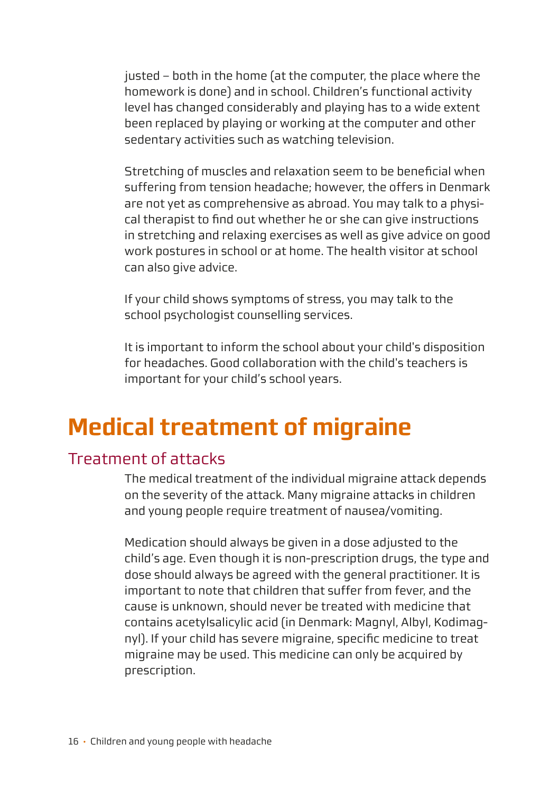<span id="page-15-0"></span>justed – both in the home (at the computer, the place where the homework is done) and in school. Children's functional activity level has changed considerably and playing has to a wide extent been replaced by playing or working at the computer and other sedentary activities such as watching television.

Stretching of muscles and relaxation seem to be beneficial when suffering from tension headache; however, the offers in Denmark are not yet as comprehensive as abroad. You may talk to a physical therapist to find out whether he or she can give instructions in stretching and relaxing exercises as well as give advice on good work postures in school or at home. The health visitor at school can also give advice.

If your child shows symptoms of stress, you may talk to the school psychologist counselling services.

It is important to inform the school about your child's disposition for headaches. Good collaboration with the child's teachers is important for your child's school years.

# **Medical treatment of migraine**

# Treatment of attacks

The medical treatment of the individual migraine attack depends on the severity of the attack. Many migraine attacks in children and young people require treatment of nausea/vomiting.

Medication should always be given in a dose adjusted to the child's age. Even though it is non-prescription drugs, the type and dose should always be agreed with the general practitioner. It is important to note that children that suffer from fever, and the cause is unknown, should never be treated with medicine that contains acetylsalicylic acid (in Denmark: Magnyl, Albyl, Kodimagnyl). If your child has severe migraine, specific medicine to treat migraine may be used. This medicine can only be acquired by prescription.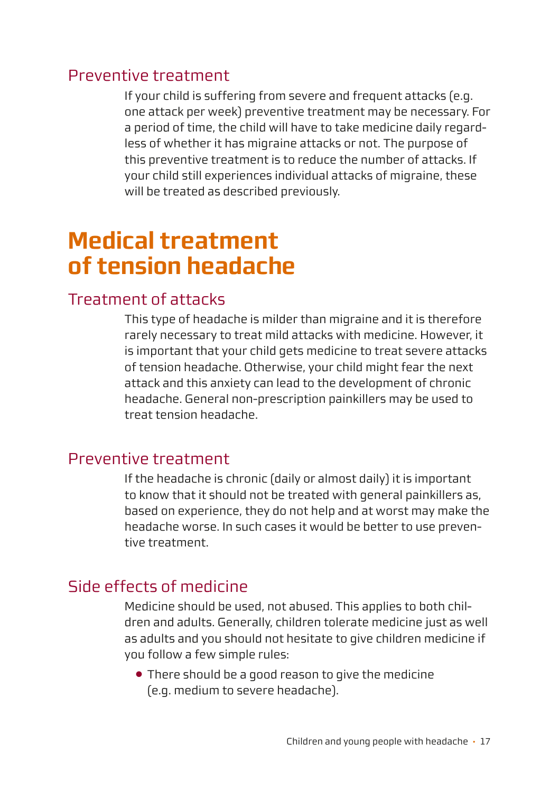## <span id="page-16-0"></span>Preventive treatment

If your child is suffering from severe and frequent attacks (e.g. one attack per week) preventive treatment may be necessary. For a period of time, the child will have to take medicine daily regardless of whether it has migraine attacks or not. The purpose of this preventive treatment is to reduce the number of attacks. If your child still experiences individual attacks of migraine, these will be treated as described previously.

# **Medical treatment of tension headache**

## Treatment of attacks

This type of headache is milder than migraine and it is therefore rarely necessary to treat mild attacks with medicine. However, it is important that your child gets medicine to treat severe attacks of tension headache. Otherwise, your child might fear the next attack and this anxiety can lead to the development of chronic headache. General non-prescription painkillers may be used to treat tension headache.

### Preventive treatment

If the headache is chronic (daily or almost daily) it is important to know that it should not be treated with general painkillers as, based on experience, they do not help and at worst may make the headache worse. In such cases it would be better to use preventive treatment.

## Side effects of medicine

Medicine should be used, not abused. This applies to both children and adults. Generally, children tolerate medicine just as well as adults and you should not hesitate to give children medicine if you follow a few simple rules:

● There should be a good reason to give the medicine (e.g. medium to severe headache).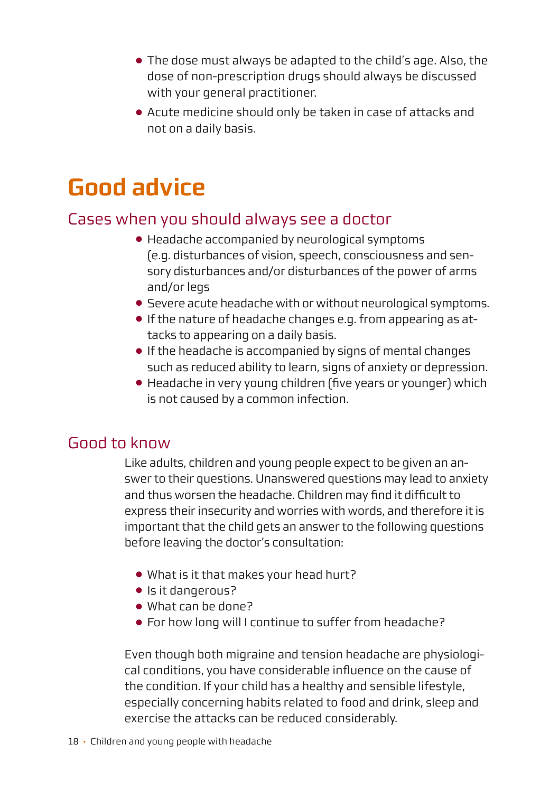- <span id="page-17-0"></span>● The dose must always be adapted to the child's age. Also, the dose of non-prescription drugs should always be discussed with your general practitioner.
- Acute medicine should only be taken in case of attacks and not on a daily basis.

# **Good advice**

# Cases when you should always see a doctor

- Headache accompanied by neurological symptoms (e.g. disturbances of vision, speech, consciousness and sensory disturbances and/or disturbances of the power of arms and/or legs
- Severe acute headache with or without neurological symptoms.
- If the nature of headache changes e.g. from appearing as attacks to appearing on a daily basis.
- If the headache is accompanied by signs of mental changes such as reduced ability to learn, signs of anxiety or depression.
- Headache in very young children (five years or younger) which is not caused by a common infection.

# Good to know

Like adults, children and young people expect to be given an answer to their questions. Unanswered questions may lead to anxiety and thus worsen the headache. Children may find it difficult to express their insecurity and worries with words, and therefore it is important that the child gets an answer to the following questions before leaving the doctor's consultation:

- What is it that makes your head hurt?
- Is it dangerous?
- What can be done?
- For how long will I continue to suffer from headache?

Even though both migraine and tension headache are physiological conditions, you have considerable influence on the cause of the condition. If your child has a healthy and sensible lifestyle, especially concerning habits related to food and drink, sleep and exercise the attacks can be reduced considerably.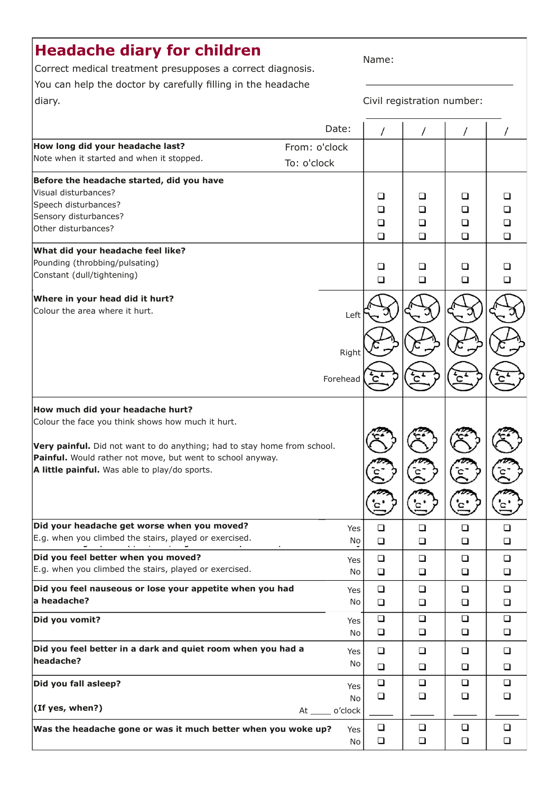# <span id="page-18-0"></span>**Headache diary for children**

Correct medical treatment presupposes a correct diagnosis. You can help the doctor by carefully filling in the headache diary.

Civil registration number:

|                                                                          |                  | Date:    | 7      | T      | $\sqrt{2}$ |        |
|--------------------------------------------------------------------------|------------------|----------|--------|--------|------------|--------|
| How long did your headache last?<br>From: o'clock                        |                  |          |        |        |            |        |
| Note when it started and when it stopped.                                | To: o'clock      |          |        |        |            |        |
| Before the headache started, did you have                                |                  |          |        |        |            |        |
| Visual disturbances?                                                     |                  |          | □      | $\Box$ | □          | □      |
| Speech disturbances?                                                     |                  |          | □      | $\Box$ | $\Box$     | $\Box$ |
| Sensory disturbances?                                                    |                  |          | ◻      | ◻      | ◻          | ◻      |
| Other disturbances?                                                      |                  |          | □      | $\Box$ | $\Box$     | □      |
| What did your headache feel like?                                        |                  |          |        |        |            |        |
| Pounding (throbbing/pulsating)                                           |                  |          | ❏      | ❏      | □          | □      |
| Constant (dull/tightening)                                               |                  |          | $\Box$ | $\Box$ | $\Box$     | □      |
| Where in your head did it hurt?                                          |                  |          |        |        |            |        |
| Colour the area where it hurt.                                           |                  | Left     |        |        |            |        |
|                                                                          |                  |          |        |        |            |        |
|                                                                          |                  |          |        |        |            |        |
|                                                                          |                  | Right    |        |        |            |        |
|                                                                          |                  |          |        |        |            |        |
|                                                                          |                  | Forehead |        |        |            |        |
|                                                                          |                  |          |        |        |            |        |
| How much did your headache hurt?                                         |                  |          |        |        |            |        |
| Colour the face you think shows how much it hurt.                        |                  |          |        |        |            |        |
|                                                                          |                  |          |        |        |            |        |
| Very painful. Did not want to do anything; had to stay home from school. |                  |          |        |        |            |        |
| Painful. Would rather not move, but went to school anyway.               |                  |          |        |        |            |        |
| A little painful. Was able to play/do sports.                            |                  |          |        |        |            |        |
|                                                                          |                  |          |        |        |            |        |
|                                                                          |                  |          |        |        |            |        |
| Did your headache get worse when you moved?                              |                  | Yes      | □      | □      | □          | □      |
| E.g. when you climbed the stairs, played or exercised.                   |                  | No       | $\Box$ | $\Box$ | □          | □      |
| Did you feel better when you moved?                                      |                  | Yes      | ο      | $\Box$ | □          | □      |
| E.g. when you climbed the stairs, played or exercised.                   |                  | No       | О      | □      | □          | □      |
| Did you feel nauseous or lose your appetite when you had                 |                  | Yes      | $\Box$ | □      | □          | □      |
| a headache?                                                              |                  | No       | □      | $\Box$ | $\Box$     | □      |
| Did you vomit?                                                           |                  | Yes      | □      | □      | □          | □      |
|                                                                          |                  | No       | $\Box$ | □      | □          | □      |
| Did you feel better in a dark and quiet room when you had a              |                  | Yes      | о      | $\Box$ | □          | $\Box$ |
| headache?                                                                |                  | No       | $\Box$ | □      | ◻          | ◻      |
| Did you fall asleep?                                                     |                  | Yes      | □      | □      | □          | □      |
|                                                                          |                  | No       | □      | □      | $\Box$     | ◻      |
| (If yes, when?)                                                          | At _____ o'clock |          |        |        |            |        |
| Was the headache gone or was it much better when you woke up?            |                  | Yes      | $\Box$ | □      | □          | □      |
|                                                                          |                  | No       | $\Box$ | $\Box$ | $\Box$     | $\Box$ |